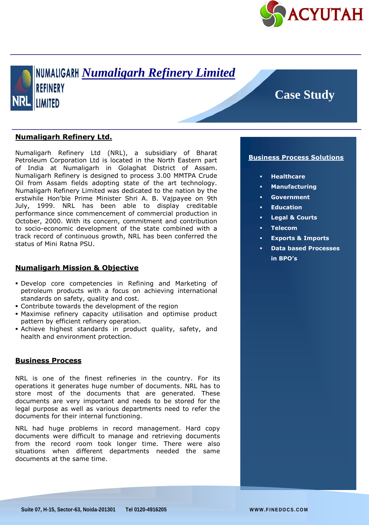



# **Case Study**

### **Numaligarh Refinery Ltd.**

Numaligarh Refinery Ltd (NRL), a subsidiary of Bharat Petroleum Corporation Ltd is located in the North Eastern part of India at Numaligarh in Golaghat District of Assam. Numaligarh Refinery is designed to process 3.00 MMTPA Crude Oil from Assam fields adopting state of the art technology. Numaligarh Refinery Limited was dedicated to the nation by the erstwhile Hon'ble Prime Minister Shri A. B. Vajpayee on 9th July, 1999. NRL has been able to display creditable performance since commencement of commercial production in October, 2000. With its concern, commitment and contribution to socio-economic development of the state combined with a track record of continuous growth, NRL has been conferred the status of Mini Ratna PSU.

#### **Numaligarh Mission & Objective**

- Develop core competencies in Refining and Marketing of petroleum products with a focus on achieving international standards on safety, quality and cost.
- Contribute towards the development of the region
- Maximise refinery capacity utilisation and optimise product pattern by efficient refinery operation.
- Achieve highest standards in product quality, safety, and health and environment protection.

## **Business Process**

NRL is one of the finest refineries in the country. For its operations it generates huge number of documents. NRL has to store most of the documents that are generated. These documents are very important and needs to be stored for the legal purpose as well as various departments need to refer the documents for their internal functioning.

NRL had huge problems in record management. Hard copy documents were difficult to manage and retrieving documents from the record room took longer time. There were also situations when different departments needed the same documents at the same time.

#### **Business Process Solutions**

- **Healthcare**
- **Manufacturing**
- **Government**
- **Education**
- **Legal & Courts**
- **Telecom**
- **Exports & Imports**
- **Data based Processes in BPO's**